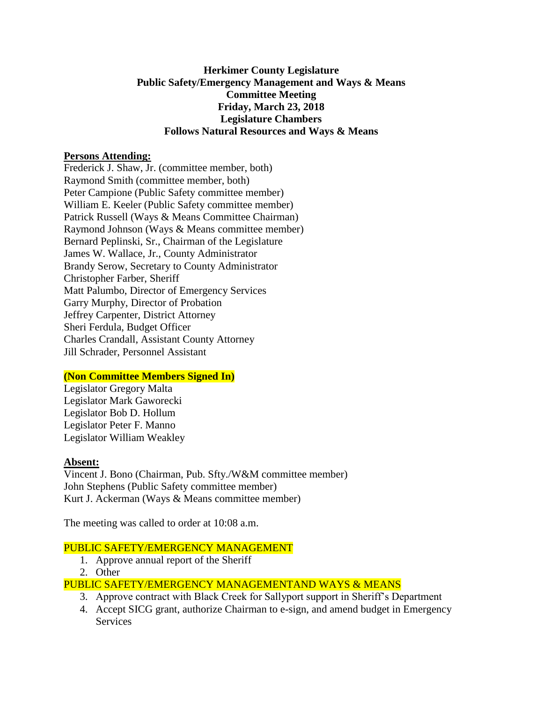#### **Herkimer County Legislature Public Safety/Emergency Management and Ways & Means Committee Meeting Friday, March 23, 2018 Legislature Chambers Follows Natural Resources and Ways & Means**

#### **Persons Attending:**

Frederick J. Shaw, Jr. (committee member, both) Raymond Smith (committee member, both) Peter Campione (Public Safety committee member) William E. Keeler (Public Safety committee member) Patrick Russell (Ways & Means Committee Chairman) Raymond Johnson (Ways & Means committee member) Bernard Peplinski, Sr., Chairman of the Legislature James W. Wallace, Jr., County Administrator Brandy Serow, Secretary to County Administrator Christopher Farber, Sheriff Matt Palumbo, Director of Emergency Services Garry Murphy, Director of Probation Jeffrey Carpenter, District Attorney Sheri Ferdula, Budget Officer Charles Crandall, Assistant County Attorney Jill Schrader, Personnel Assistant

# **(Non Committee Members Signed In)**

Legislator Gregory Malta Legislator Mark Gaworecki Legislator Bob D. Hollum Legislator Peter F. Manno Legislator William Weakley

# **Absent:**

Vincent J. Bono (Chairman, Pub. Sfty./W&M committee member) John Stephens (Public Safety committee member) Kurt J. Ackerman (Ways & Means committee member)

The meeting was called to order at 10:08 a.m.

# PUBLIC SAFETY/EMERGENCY MANAGEMENT

- 1. Approve annual report of the Sheriff
- 2. Other

# PUBLIC SAFETY/EMERGENCY MANAGEMENTAND WAYS & MEANS

- 3. Approve contract with Black Creek for Sallyport support in Sheriff's Department
- 4. Accept SICG grant, authorize Chairman to e-sign, and amend budget in Emergency **Services**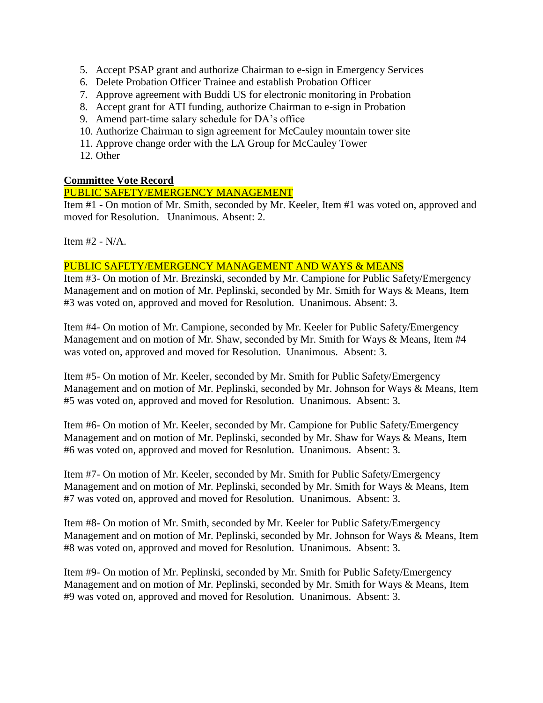- 5. Accept PSAP grant and authorize Chairman to e-sign in Emergency Services
- 6. Delete Probation Officer Trainee and establish Probation Officer
- 7. Approve agreement with Buddi US for electronic monitoring in Probation
- 8. Accept grant for ATI funding, authorize Chairman to e-sign in Probation
- 9. Amend part-time salary schedule for DA's office
- 10. Authorize Chairman to sign agreement for McCauley mountain tower site
- 11. Approve change order with the LA Group for McCauley Tower
- 12. Other

#### **Committee Vote Record**

# PUBLIC SAFETY/EMERGENCY MANAGEMENT

Item #1 - On motion of Mr. Smith, seconded by Mr. Keeler, Item #1 was voted on, approved and moved for Resolution. Unanimous. Absent: 2.

Item #2 - N/A.

#### PUBLIC SAFETY/EMERGENCY MANAGEMENT AND WAYS & MEANS

Item #3- On motion of Mr. Brezinski, seconded by Mr. Campione for Public Safety/Emergency Management and on motion of Mr. Peplinski, seconded by Mr. Smith for Ways & Means, Item #3 was voted on, approved and moved for Resolution. Unanimous. Absent: 3.

Item #4- On motion of Mr. Campione, seconded by Mr. Keeler for Public Safety/Emergency Management and on motion of Mr. Shaw, seconded by Mr. Smith for Ways & Means, Item #4 was voted on, approved and moved for Resolution. Unanimous. Absent: 3.

Item #5- On motion of Mr. Keeler, seconded by Mr. Smith for Public Safety/Emergency Management and on motion of Mr. Peplinski, seconded by Mr. Johnson for Ways & Means, Item #5 was voted on, approved and moved for Resolution. Unanimous. Absent: 3.

Item #6- On motion of Mr. Keeler, seconded by Mr. Campione for Public Safety/Emergency Management and on motion of Mr. Peplinski, seconded by Mr. Shaw for Ways & Means, Item #6 was voted on, approved and moved for Resolution. Unanimous. Absent: 3.

Item #7- On motion of Mr. Keeler, seconded by Mr. Smith for Public Safety/Emergency Management and on motion of Mr. Peplinski, seconded by Mr. Smith for Ways & Means, Item #7 was voted on, approved and moved for Resolution. Unanimous. Absent: 3.

Item #8- On motion of Mr. Smith, seconded by Mr. Keeler for Public Safety/Emergency Management and on motion of Mr. Peplinski, seconded by Mr. Johnson for Ways & Means, Item #8 was voted on, approved and moved for Resolution. Unanimous. Absent: 3.

Item #9- On motion of Mr. Peplinski, seconded by Mr. Smith for Public Safety/Emergency Management and on motion of Mr. Peplinski, seconded by Mr. Smith for Ways & Means, Item #9 was voted on, approved and moved for Resolution. Unanimous. Absent: 3.